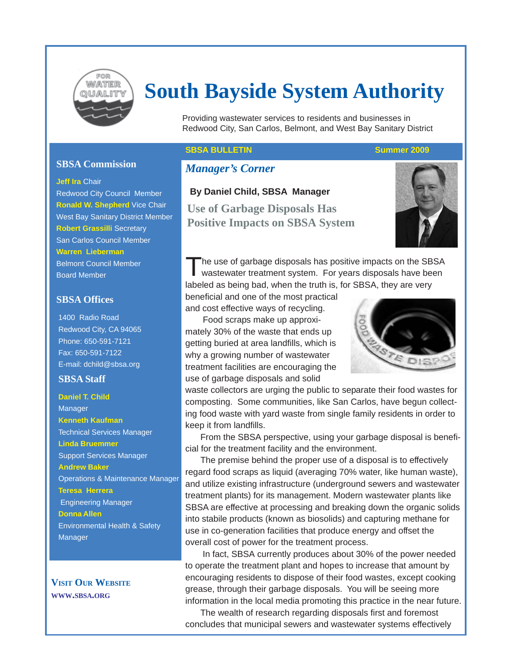

# **South Bayside System Authority**

Providing wastewater services to residents and businesses in Redwood City, San Carlos, Belmont, and West Bay Sanitary District

# **SBSA Commission**

#### **Jeff Ira** Chair

Redwood City Council Member **Ronald W. Shepherd** Vice Chair West Bay Sanitary District Member **Robert Grassilli** Secretary San Carlos Council Member **Warren Lieberman** Belmont Council Member Board Member

# **SBSA Offices**

1400 Radio Road Redwood City, CA 94065 Phone: 650-591-7121 Fax: 650-591-7122 E-mail: dchild@sbsa.org

# **SBSA Staff**

**Daniel T. Child** Manager **Kenneth Kaufman** Technical Services Manager **Linda Bruemmer** Support Services Manager **Andrew Baker** Operations & Maintenance Manager **Teresa Herrera** Engineering Manager **Donna Allen** Environmental Health & Safety **Manager** 

**VISIT OUR WEBSITE WWW.SBSA.ORG**

# **SBSA BULLETIN** SUMMER SUMMER 2009

# *Manager's Corner*

### **By Daniel Child, SBSA Manager**

**Use of Garbage Disposals Has Positive Impacts on SBSA System**



The use of garbage disposals has positive impacts on the SBSA wastewater treatment system. For years disposals have been labeled as being bad, when the truth is, for SBSA, they are very

beneficial and one of the most practical and cost effective ways of recycling.

 Food scraps make up approximately 30% of the waste that ends up getting buried at area landfills, which is why a growing number of wastewater treatment facilities are encouraging the use of garbage disposals and solid



waste collectors are urging the public to separate their food wastes for composting. Some communities, like San Carlos, have begun collecting food waste with yard waste from single family residents in order to keep it from landfills.

From the SBSA perspective, using your garbage disposal is beneficial for the treatment facility and the environment.

The premise behind the proper use of a disposal is to effectively regard food scraps as liquid (averaging 70% water, like human waste), and utilize existing infrastructure (underground sewers and wastewater treatment plants) for its management. Modern wastewater plants like SBSA are effective at processing and breaking down the organic solids into stabile products (known as biosolids) and capturing methane for use in co-generation facilities that produce energy and offset the overall cost of power for the treatment process.

 In fact, SBSA currently produces about 30% of the power needed to operate the treatment plant and hopes to increase that amount by encouraging residents to dispose of their food wastes, except cooking grease, through their garbage disposals. You will be seeing more information in the local media promoting this practice in the near future.

The wealth of research regarding disposals first and foremost concludes that municipal sewers and wastewater systems effectively